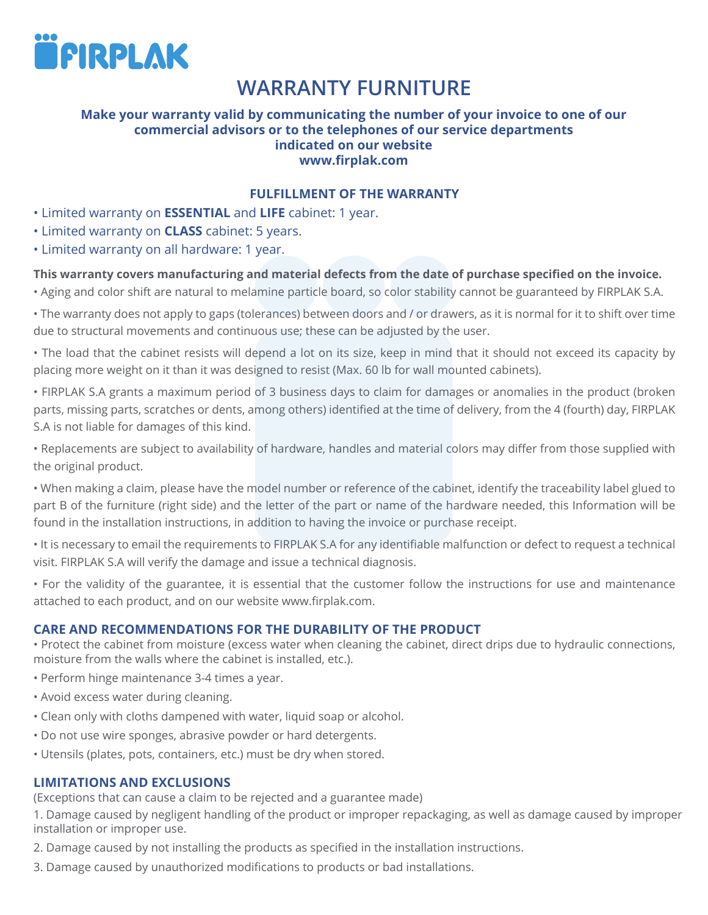

# **WARRANTY FURNITURE**

## **Make your warranty valid by communicating the number of your invoice to one of our commercial advisors or to the telephones of our service departments indicated on our website www.firplak.com**

## **FULFILLMENT OF THE WARRANTY**

- Limited warranty on **ESSENTIAL** and **LIFE** cabinet: 1 year.
- Limited warranty on **CLASS** cabinet: 5 years.
- Limited warranty on all hardware: 1 year.

#### **This warranty covers manufacturing and material defects from the date of purchase specified on the invoice.**

• Aging and color shift are natural to melamine particle board, so color stability cannot be guaranteed by FIRPLAK S.A.

• The warranty does not apply to gaps (tolerances) between doors and / or drawers, as it is normal for it to shift over time due to structural movements and continuous use; these can be adjusted by the user.

• The load that the cabinet resists will depend a lot on its size, keep in mind that it should not exceed its capacity by placing more weight on it than it was designed to resist (Max. 60 lb for wall mounted cabinets).

• FIRPLAK S.A grants a maximum period of 3 business days to claim for damages or anomalies in the product (broken parts, missing parts, scratches or dents, among others) identified at the time of delivery, from the 4 (fourth) day, FIRPLAK S.A is not liable for damages of this kind.

• Replacements are subject to availability of hardware, handles and material colors may differ from those supplied with the original product.

• When making a claim, please have the model number or reference of the cabinet, identify the traceability label glued to part B of the furniture (right side) and the letter of the part or name of the hardware needed, this Information will be found in the installation instructions, in addition to having the invoice or purchase receipt.

• It is necessary to email the requirements to FIRPLAK S.A for any identifiable malfunction or defect to request a technical visit. FIRPLAK S.A will verify the damage and issue a technical diagnosis.

• For the validity of the guarantee, it is essential that the customer follow the instructions for use and maintenance attached to each product, and on our website www.firplak.com.

#### **CARE AND RECOMMENDATIONS FOR THE DURABILITY OF THE PRODUCT**

• Protect the cabinet from moisture (excess water when cleaning the cabinet, direct drips due to hydraulic connections, moisture from the walls where the cabinet is installed, etc.).

- Perform hinge maintenance 3-4 times a year.
- Avoid excess water during cleaning.
- Clean only with cloths dampened with water, liquid soap or alcohol.
- Do not use wire sponges, abrasive powder or hard detergents.
- Utensils (plates, pots, containers, etc.) must be dry when stored.

#### **LIMITATIONS AND EXCLUSIONS**

(Exceptions that can cause a claim to be rejected and a guarantee made)

1. Damage caused by negligent handling of the product or improper repackaging, as well as damage caused by improper installation or improper use.

- 2. Damage caused by not installing the products as specified in the installation instructions.
- 3. Damage caused by unauthorized modifications to products or bad installations.